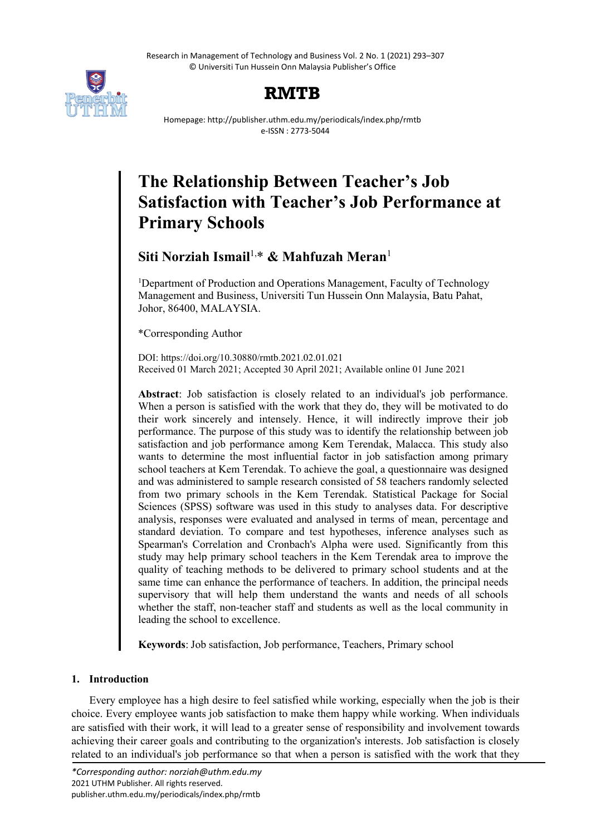Research in Management of Technology and Business Vol. 2 No. 1 (2021) 293–307 © Universiti Tun Hussein Onn Malaysia Publisher's Office



# **RMTB**

Homepage: http://publisher.uthm.edu.my/periodicals/index.php/rmtb e-ISSN : 2773-5044

# **The Relationship Between Teacher's Job Satisfaction with Teacher's Job Performance at Primary Schools**

# **Siti Norziah Ismail**1,\* **& Mahfuzah Meran**<sup>1</sup>

<sup>1</sup>Department of Production and Operations Management, Faculty of Technology Management and Business, Universiti Tun Hussein Onn Malaysia, Batu Pahat, Johor, 86400, MALAYSIA.

\*Corresponding Author

DOI: https://doi.org/10.30880/rmtb.2021.02.01.021 Received 01 March 2021; Accepted 30 April 2021; Available online 01 June 2021

**Abstract**: Job satisfaction is closely related to an individual's job performance. When a person is satisfied with the work that they do, they will be motivated to do their work sincerely and intensely. Hence, it will indirectly improve their job performance. The purpose of this study was to identify the relationship between job satisfaction and job performance among Kem Terendak, Malacca. This study also wants to determine the most influential factor in job satisfaction among primary school teachers at Kem Terendak. To achieve the goal, a questionnaire was designed and was administered to sample research consisted of 58 teachers randomly selected from two primary schools in the Kem Terendak. Statistical Package for Social Sciences (SPSS) software was used in this study to analyses data. For descriptive analysis, responses were evaluated and analysed in terms of mean, percentage and standard deviation. To compare and test hypotheses, inference analyses such as Spearman's Correlation and Cronbach's Alpha were used. Significantly from this study may help primary school teachers in the Kem Terendak area to improve the quality of teaching methods to be delivered to primary school students and at the same time can enhance the performance of teachers. In addition, the principal needs supervisory that will help them understand the wants and needs of all schools whether the staff, non-teacher staff and students as well as the local community in leading the school to excellence.

**Keywords**: Job satisfaction, Job performance, Teachers, Primary school

# **1. Introduction**

Every employee has a high desire to feel satisfied while working, especially when the job is their choice. Every employee wants job satisfaction to make them happy while working. When individuals are satisfied with their work, it will lead to a greater sense of responsibility and involvement towards achieving their career goals and contributing to the organization's interests. Job satisfaction is closely related to an individual's job performance so that when a person is satisfied with the work that they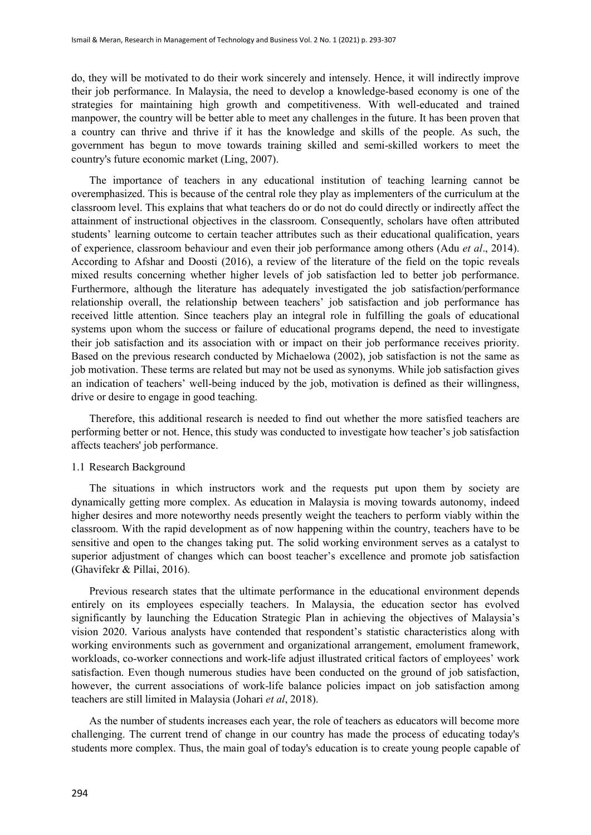do, they will be motivated to do their work sincerely and intensely. Hence, it will indirectly improve their job performance. In Malaysia, the need to develop a knowledge-based economy is one of the strategies for maintaining high growth and competitiveness. With well-educated and trained manpower, the country will be better able to meet any challenges in the future. It has been proven that a country can thrive and thrive if it has the knowledge and skills of the people. As such, the government has begun to move towards training skilled and semi-skilled workers to meet the country's future economic market (Ling, 2007).

The importance of teachers in any educational institution of teaching learning cannot be overemphasized. This is because of the central role they play as implementers of the curriculum at the classroom level. This explains that what teachers do or do not do could directly or indirectly affect the attainment of instructional objectives in the classroom. Consequently, scholars have often attributed students' learning outcome to certain teacher attributes such as their educational qualification, years of experience, classroom behaviour and even their job performance among others (Adu *et al*., 2014). According to Afshar and Doosti (2016), a review of the literature of the field on the topic reveals mixed results concerning whether higher levels of job satisfaction led to better job performance. Furthermore, although the literature has adequately investigated the job satisfaction/performance relationship overall, the relationship between teachers' job satisfaction and job performance has received little attention. Since teachers play an integral role in fulfilling the goals of educational systems upon whom the success or failure of educational programs depend, the need to investigate their job satisfaction and its association with or impact on their job performance receives priority. Based on the previous research conducted by Michaelowa (2002), job satisfaction is not the same as job motivation. These terms are related but may not be used as synonyms. While job satisfaction gives an indication of teachers' well-being induced by the job, motivation is defined as their willingness, drive or desire to engage in good teaching.

Therefore, this additional research is needed to find out whether the more satisfied teachers are performing better or not. Hence, this study was conducted to investigate how teacher's job satisfaction affects teachers' job performance.

#### 1.1 Research Background

The situations in which instructors work and the requests put upon them by society are dynamically getting more complex. As education in Malaysia is moving towards autonomy, indeed higher desires and more noteworthy needs presently weight the teachers to perform viably within the classroom. With the rapid development as of now happening within the country, teachers have to be sensitive and open to the changes taking put. The solid working environment serves as a catalyst to superior adjustment of changes which can boost teacher's excellence and promote job satisfaction (Ghavifekr & Pillai, 2016).

Previous research states that the ultimate performance in the educational environment depends entirely on its employees especially teachers. In Malaysia, the education sector has evolved significantly by launching the Education Strategic Plan in achieving the objectives of Malaysia's vision 2020. Various analysts have contended that respondent's statistic characteristics along with working environments such as government and organizational arrangement, emolument framework, workloads, co-worker connections and work-life adjust illustrated critical factors of employees' work satisfaction. Even though numerous studies have been conducted on the ground of job satisfaction, however, the current associations of work-life balance policies impact on job satisfaction among teachers are still limited in Malaysia (Johari *et al*, 2018).

As the number of students increases each year, the role of teachers as educators will become more challenging. The current trend of change in our country has made the process of educating today's students more complex. Thus, the main goal of today's education is to create young people capable of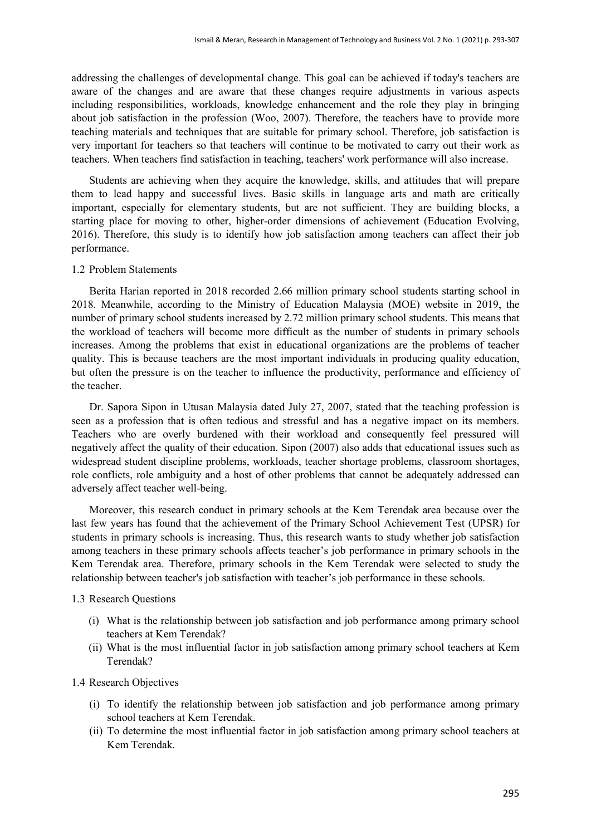addressing the challenges of developmental change. This goal can be achieved if today's teachers are aware of the changes and are aware that these changes require adjustments in various aspects including responsibilities, workloads, knowledge enhancement and the role they play in bringing about job satisfaction in the profession (Woo, 2007). Therefore, the teachers have to provide more teaching materials and techniques that are suitable for primary school. Therefore, job satisfaction is very important for teachers so that teachers will continue to be motivated to carry out their work as teachers. When teachers find satisfaction in teaching, teachers' work performance will also increase.

Students are achieving when they acquire the knowledge, skills, and attitudes that will prepare them to lead happy and successful lives. Basic skills in language arts and math are critically important, especially for elementary students, but are not sufficient. They are building blocks, a starting place for moving to other, higher-order dimensions of achievement (Education Evolving, 2016). Therefore, this study is to identify how job satisfaction among teachers can affect their job performance.

#### 1.2 Problem Statements

Berita Harian reported in 2018 recorded 2.66 million primary school students starting school in 2018. Meanwhile, according to the Ministry of Education Malaysia (MOE) website in 2019, the number of primary school students increased by 2.72 million primary school students. This means that the workload of teachers will become more difficult as the number of students in primary schools increases. Among the problems that exist in educational organizations are the problems of teacher quality. This is because teachers are the most important individuals in producing quality education, but often the pressure is on the teacher to influence the productivity, performance and efficiency of the teacher.

Dr. Sapora Sipon in Utusan Malaysia dated July 27, 2007, stated that the teaching profession is seen as a profession that is often tedious and stressful and has a negative impact on its members. Teachers who are overly burdened with their workload and consequently feel pressured will negatively affect the quality of their education. Sipon (2007) also adds that educational issues such as widespread student discipline problems, workloads, teacher shortage problems, classroom shortages, role conflicts, role ambiguity and a host of other problems that cannot be adequately addressed can adversely affect teacher well-being.

Moreover, this research conduct in primary schools at the Kem Terendak area because over the last few years has found that the achievement of the Primary School Achievement Test (UPSR) for students in primary schools is increasing. Thus, this research wants to study whether job satisfaction among teachers in these primary schools affects teacher's job performance in primary schools in the Kem Terendak area. Therefore, primary schools in the Kem Terendak were selected to study the relationship between teacher's job satisfaction with teacher's job performance in these schools.

#### 1.3 Research Questions

- (i) What is the relationship between job satisfaction and job performance among primary school teachers at Kem Terendak?
- (ii) What is the most influential factor in job satisfaction among primary school teachers at Kem Terendak?

#### 1.4 Research Objectives

- (i) To identify the relationship between job satisfaction and job performance among primary school teachers at Kem Terendak.
- (ii) To determine the most influential factor in job satisfaction among primary school teachers at Kem Terendak.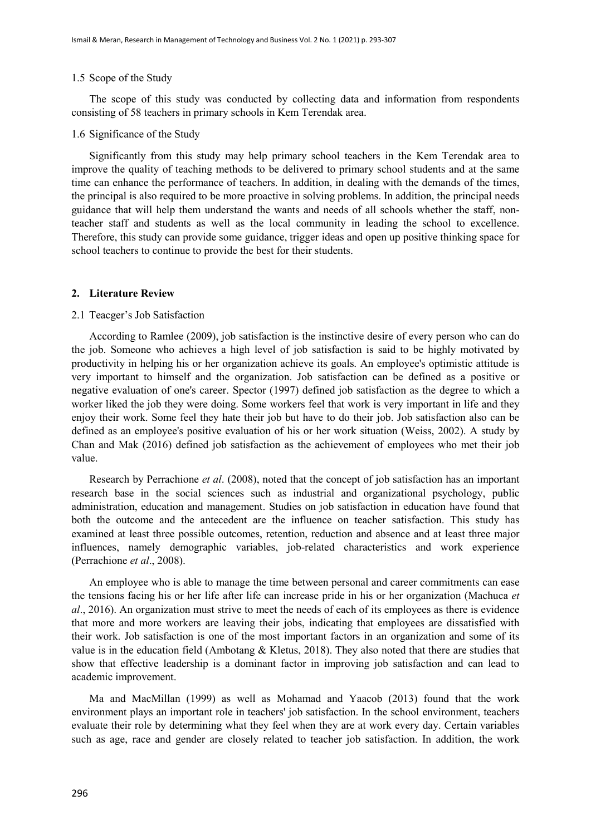#### 1.5 Scope of the Study

The scope of this study was conducted by collecting data and information from respondents consisting of 58 teachers in primary schools in Kem Terendak area.

#### 1.6 Significance of the Study

Significantly from this study may help primary school teachers in the Kem Terendak area to improve the quality of teaching methods to be delivered to primary school students and at the same time can enhance the performance of teachers. In addition, in dealing with the demands of the times, the principal is also required to be more proactive in solving problems. In addition, the principal needs guidance that will help them understand the wants and needs of all schools whether the staff, nonteacher staff and students as well as the local community in leading the school to excellence. Therefore, this study can provide some guidance, trigger ideas and open up positive thinking space for school teachers to continue to provide the best for their students.

#### **2. Literature Review**

#### 2.1 Teacger's Job Satisfaction

According to Ramlee (2009), job satisfaction is the instinctive desire of every person who can do the job. Someone who achieves a high level of job satisfaction is said to be highly motivated by productivity in helping his or her organization achieve its goals. An employee's optimistic attitude is very important to himself and the organization. Job satisfaction can be defined as a positive or negative evaluation of one's career. Spector (1997) defined job satisfaction as the degree to which a worker liked the job they were doing. Some workers feel that work is very important in life and they enjoy their work. Some feel they hate their job but have to do their job. Job satisfaction also can be defined as an employee's positive evaluation of his or her work situation (Weiss, 2002). A study by Chan and Mak (2016) defined job satisfaction as the achievement of employees who met their job value.

Research by Perrachione *et al*. (2008), noted that the concept of job satisfaction has an important research base in the social sciences such as industrial and organizational psychology, public administration, education and management. Studies on job satisfaction in education have found that both the outcome and the antecedent are the influence on teacher satisfaction. This study has examined at least three possible outcomes, retention, reduction and absence and at least three major influences, namely demographic variables, job-related characteristics and work experience (Perrachione *et al*., 2008).

An employee who is able to manage the time between personal and career commitments can ease the tensions facing his or her life after life can increase pride in his or her organization (Machuca *et al*., 2016). An organization must strive to meet the needs of each of its employees as there is evidence that more and more workers are leaving their jobs, indicating that employees are dissatisfied with their work. Job satisfaction is one of the most important factors in an organization and some of its value is in the education field (Ambotang & Kletus, 2018). They also noted that there are studies that show that effective leadership is a dominant factor in improving job satisfaction and can lead to academic improvement.

Ma and MacMillan (1999) as well as Mohamad and Yaacob (2013) found that the work environment plays an important role in teachers' job satisfaction. In the school environment, teachers evaluate their role by determining what they feel when they are at work every day. Certain variables such as age, race and gender are closely related to teacher job satisfaction. In addition, the work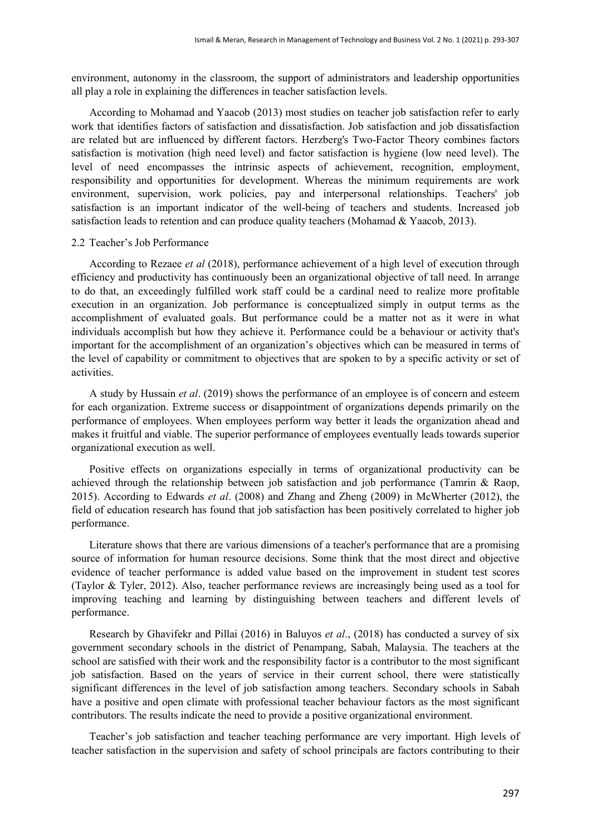environment, autonomy in the classroom, the support of administrators and leadership opportunities all play a role in explaining the differences in teacher satisfaction levels.

According to Mohamad and Yaacob (2013) most studies on teacher job satisfaction refer to early work that identifies factors of satisfaction and dissatisfaction. Job satisfaction and job dissatisfaction are related but are influenced by different factors. Herzberg's Two-Factor Theory combines factors satisfaction is motivation (high need level) and factor satisfaction is hygiene (low need level). The level of need encompasses the intrinsic aspects of achievement, recognition, employment, responsibility and opportunities for development. Whereas the minimum requirements are work environment, supervision, work policies, pay and interpersonal relationships. Teachers' job satisfaction is an important indicator of the well-being of teachers and students. Increased job satisfaction leads to retention and can produce quality teachers (Mohamad & Yaacob, 2013).

#### 2.2 Teacher's Job Performance

According to Rezaee *et al* (2018), performance achievement of a high level of execution through efficiency and productivity has continuously been an organizational objective of tall need. In arrange to do that, an exceedingly fulfilled work staff could be a cardinal need to realize more profitable execution in an organization. Job performance is conceptualized simply in output terms as the accomplishment of evaluated goals. But performance could be a matter not as it were in what individuals accomplish but how they achieve it. Performance could be a behaviour or activity that's important for the accomplishment of an organization's objectives which can be measured in terms of the level of capability or commitment to objectives that are spoken to by a specific activity or set of activities.

A study by Hussain *et al*. (2019) shows the performance of an employee is of concern and esteem for each organization. Extreme success or disappointment of organizations depends primarily on the performance of employees. When employees perform way better it leads the organization ahead and makes it fruitful and viable. The superior performance of employees eventually leads towards superior organizational execution as well.

Positive effects on organizations especially in terms of organizational productivity can be achieved through the relationship between job satisfaction and job performance (Tamrin & Raop, 2015). According to Edwards *et al*. (2008) and Zhang and Zheng (2009) in McWherter (2012), the field of education research has found that job satisfaction has been positively correlated to higher job performance.

Literature shows that there are various dimensions of a teacher's performance that are a promising source of information for human resource decisions. Some think that the most direct and objective evidence of teacher performance is added value based on the improvement in student test scores (Taylor & Tyler, 2012). Also, teacher performance reviews are increasingly being used as a tool for improving teaching and learning by distinguishing between teachers and different levels of performance.

Research by Ghavifekr and Pillai (2016) in Baluyos *et al*., (2018) has conducted a survey of six government secondary schools in the district of Penampang, Sabah, Malaysia. The teachers at the school are satisfied with their work and the responsibility factor is a contributor to the most significant job satisfaction. Based on the years of service in their current school, there were statistically significant differences in the level of job satisfaction among teachers. Secondary schools in Sabah have a positive and open climate with professional teacher behaviour factors as the most significant contributors. The results indicate the need to provide a positive organizational environment.

Teacher's job satisfaction and teacher teaching performance are very important. High levels of teacher satisfaction in the supervision and safety of school principals are factors contributing to their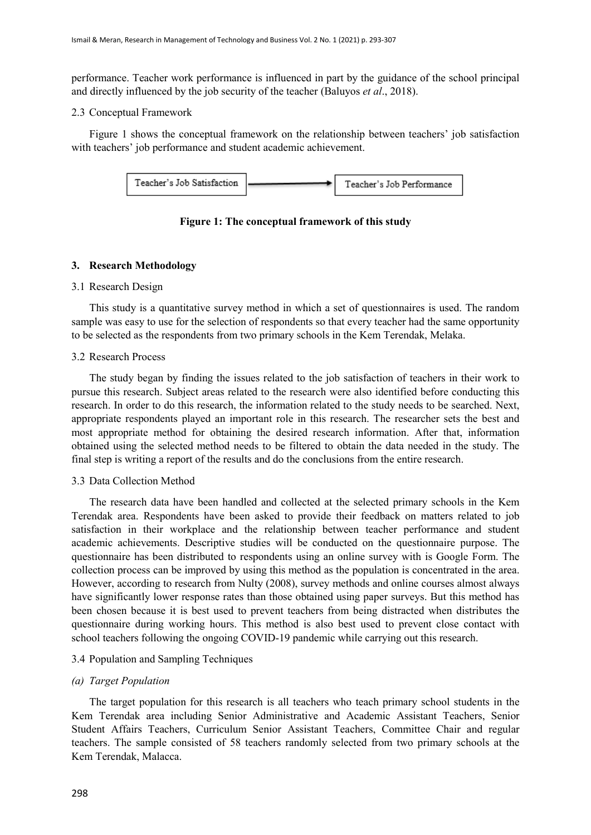performance. Teacher work performance is influenced in part by the guidance of the school principal and directly influenced by the job security of the teacher (Baluyos *et al*., 2018).

# 2.3 Conceptual Framework

Figure 1 shows the conceptual framework on the relationship between teachers' job satisfaction with teachers' job performance and student academic achievement.



**Figure 1: The conceptual framework of this study**

# **3. Research Methodology**

# 3.1 Research Design

This study is a quantitative survey method in which a set of questionnaires is used. The random sample was easy to use for the selection of respondents so that every teacher had the same opportunity to be selected as the respondents from two primary schools in the Kem Terendak, Melaka.

# 3.2 Research Process

The study began by finding the issues related to the job satisfaction of teachers in their work to pursue this research. Subject areas related to the research were also identified before conducting this research. In order to do this research, the information related to the study needs to be searched. Next, appropriate respondents played an important role in this research. The researcher sets the best and most appropriate method for obtaining the desired research information. After that, information obtained using the selected method needs to be filtered to obtain the data needed in the study. The final step is writing a report of the results and do the conclusions from the entire research.

# 3.3 Data Collection Method

The research data have been handled and collected at the selected primary schools in the Kem Terendak area. Respondents have been asked to provide their feedback on matters related to job satisfaction in their workplace and the relationship between teacher performance and student academic achievements. Descriptive studies will be conducted on the questionnaire purpose. The questionnaire has been distributed to respondents using an online survey with is Google Form. The collection process can be improved by using this method as the population is concentrated in the area. However, according to research from Nulty (2008), survey methods and online courses almost always have significantly lower response rates than those obtained using paper surveys. But this method has been chosen because it is best used to prevent teachers from being distracted when distributes the questionnaire during working hours. This method is also best used to prevent close contact with school teachers following the ongoing COVID-19 pandemic while carrying out this research.

# 3.4 Population and Sampling Techniques

# *(a) Target Population*

The target population for this research is all teachers who teach primary school students in the Kem Terendak area including Senior Administrative and Academic Assistant Teachers, Senior Student Affairs Teachers, Curriculum Senior Assistant Teachers, Committee Chair and regular teachers. The sample consisted of 58 teachers randomly selected from two primary schools at the Kem Terendak, Malacca.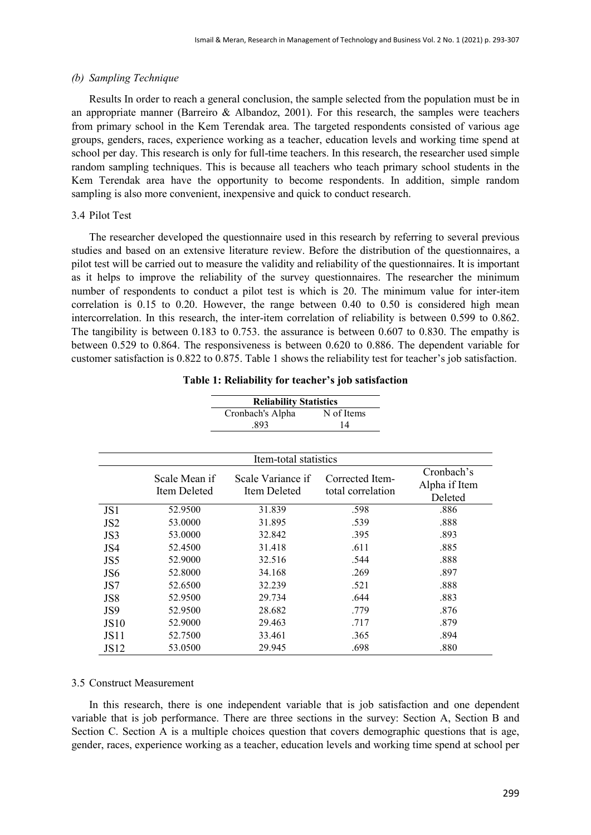#### *(b) Sampling Technique*

Results In order to reach a general conclusion, the sample selected from the population must be in an appropriate manner (Barreiro & Albandoz, 2001). For this research, the samples were teachers from primary school in the Kem Terendak area. The targeted respondents consisted of various age groups, genders, races, experience working as a teacher, education levels and working time spend at school per day. This research is only for full-time teachers. In this research, the researcher used simple random sampling techniques. This is because all teachers who teach primary school students in the Kem Terendak area have the opportunity to become respondents. In addition, simple random sampling is also more convenient, inexpensive and quick to conduct research.

#### 3.4 Pilot Test

The researcher developed the questionnaire used in this research by referring to several previous studies and based on an extensive literature review. Before the distribution of the questionnaires, a pilot test will be carried out to measure the validity and reliability of the questionnaires. It is important as it helps to improve the reliability of the survey questionnaires. The researcher the minimum number of respondents to conduct a pilot test is which is 20. The minimum value for inter-item correlation is 0.15 to 0.20. However, the range between 0.40 to 0.50 is considered high mean intercorrelation. In this research, the inter-item correlation of reliability is between 0.599 to 0.862. The tangibility is between 0.183 to 0.753. the assurance is between 0.607 to 0.830. The empathy is between 0.529 to 0.864. The responsiveness is between 0.620 to 0.886. The dependent variable for customer satisfaction is 0.822 to 0.875. Table 1 shows the reliability test for teacher's job satisfaction.

|                  |                               | <b>Reliability Statistics</b>     |                                      |                                        |
|------------------|-------------------------------|-----------------------------------|--------------------------------------|----------------------------------------|
|                  |                               | Cronbach's Alpha                  | N of Items                           |                                        |
|                  |                               | .893                              | 14                                   |                                        |
|                  |                               |                                   |                                      |                                        |
|                  |                               | Item-total statistics             |                                      |                                        |
|                  | Scale Mean if<br>Item Deleted | Scale Variance if<br>Item Deleted | Corrected Item-<br>total correlation | Cronbach's<br>Alpha if Item<br>Deleted |
| JS1              | 52.9500                       | 31.839                            | .598                                 | .886                                   |
| JS <sub>2</sub>  | 53.0000                       | 31.895                            | .539                                 | .888                                   |
| JS3              | 53.0000                       | 32.842                            | .395                                 | .893                                   |
| JS4              | 52.4500                       | 31.418                            | .611                                 | .885                                   |
| JS5              | 52.9000                       | 32.516                            | .544                                 | .888                                   |
| JS <sub>6</sub>  | 52.8000                       | 34.168                            | .269                                 | .897                                   |
| JS7              | 52.6500                       | 32.239                            | .521                                 | .888                                   |
| JS8              | 52.9500                       | 29.734                            | .644                                 | .883                                   |
| JS9              | 52.9500                       | 28.682                            | .779                                 | .876                                   |
| <b>JS10</b>      | 52.9000                       | 29.463                            | .717                                 | .879                                   |
| JS11             | 52.7500                       | 33.461                            | .365                                 | .894                                   |
| JS <sub>12</sub> | 53.0500                       | 29.945                            | .698                                 | .880                                   |

#### 3.5 Construct Measurement

In this research, there is one independent variable that is job satisfaction and one dependent variable that is job performance. There are three sections in the survey: Section A, Section B and Section C. Section A is a multiple choices question that covers demographic questions that is age, gender, races, experience working as a teacher, education levels and working time spend at school per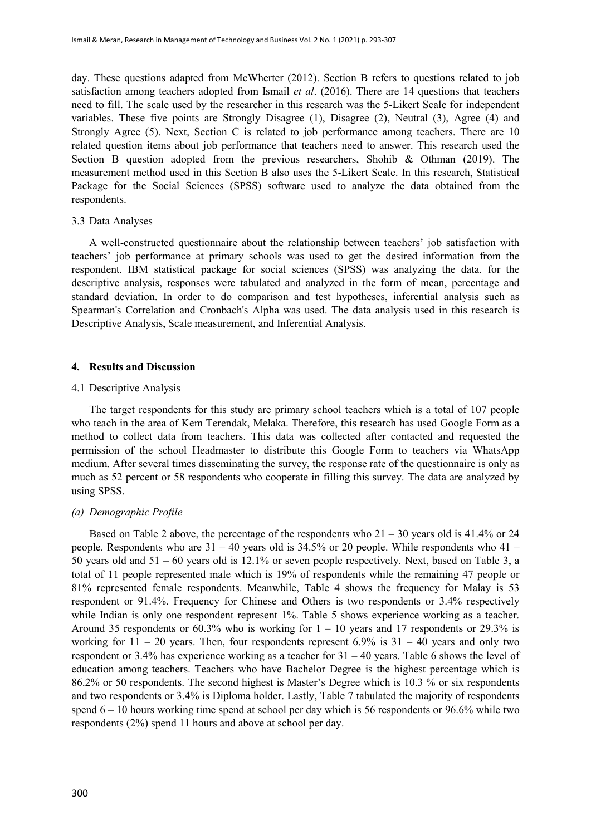day. These questions adapted from McWherter (2012). Section B refers to questions related to job satisfaction among teachers adopted from Ismail *et al*. (2016). There are 14 questions that teachers need to fill. The scale used by the researcher in this research was the 5-Likert Scale for independent variables. These five points are Strongly Disagree (1), Disagree (2), Neutral (3), Agree (4) and Strongly Agree (5). Next, Section C is related to job performance among teachers. There are 10 related question items about job performance that teachers need to answer. This research used the Section B question adopted from the previous researchers, Shohib & Othman (2019). The measurement method used in this Section B also uses the 5-Likert Scale. In this research, Statistical Package for the Social Sciences (SPSS) software used to analyze the data obtained from the respondents.

#### 3.3 Data Analyses

A well-constructed questionnaire about the relationship between teachers' job satisfaction with teachers' job performance at primary schools was used to get the desired information from the respondent. IBM statistical package for social sciences (SPSS) was analyzing the data. for the descriptive analysis, responses were tabulated and analyzed in the form of mean, percentage and standard deviation. In order to do comparison and test hypotheses, inferential analysis such as Spearman's Correlation and Cronbach's Alpha was used. The data analysis used in this research is Descriptive Analysis, Scale measurement, and Inferential Analysis.

#### **4. Results and Discussion**

#### 4.1 Descriptive Analysis

The target respondents for this study are primary school teachers which is a total of 107 people who teach in the area of Kem Terendak, Melaka. Therefore, this research has used Google Form as a method to collect data from teachers. This data was collected after contacted and requested the permission of the school Headmaster to distribute this Google Form to teachers via WhatsApp medium. After several times disseminating the survey, the response rate of the questionnaire is only as much as 52 percent or 58 respondents who cooperate in filling this survey. The data are analyzed by using SPSS.

#### *(a) Demographic Profile*

Based on Table 2 above, the percentage of the respondents who  $21 - 30$  years old is 41.4% or 24 people. Respondents who are  $31 - 40$  years old is  $34.5\%$  or 20 people. While respondents who  $41 -$ 50 years old and 51 – 60 years old is 12.1% or seven people respectively. Next, based on Table 3, a total of 11 people represented male which is 19% of respondents while the remaining 47 people or 81% represented female respondents. Meanwhile, Table 4 shows the frequency for Malay is 53 respondent or 91.4%. Frequency for Chinese and Others is two respondents or 3.4% respectively while Indian is only one respondent represent 1%. Table 5 shows experience working as a teacher. Around 35 respondents or 60.3% who is working for  $1 - 10$  years and 17 respondents or 29.3% is working for  $11 - 20$  years. Then, four respondents represent 6.9% is  $31 - 40$  years and only two respondent or 3.4% has experience working as a teacher for 31 – 40 years. Table 6 shows the level of education among teachers. Teachers who have Bachelor Degree is the highest percentage which is 86.2% or 50 respondents. The second highest is Master's Degree which is 10.3 % or six respondents and two respondents or 3.4% is Diploma holder. Lastly, Table 7 tabulated the majority of respondents spend 6 – 10 hours working time spend at school per day which is 56 respondents or 96.6% while two respondents (2%) spend 11 hours and above at school per day.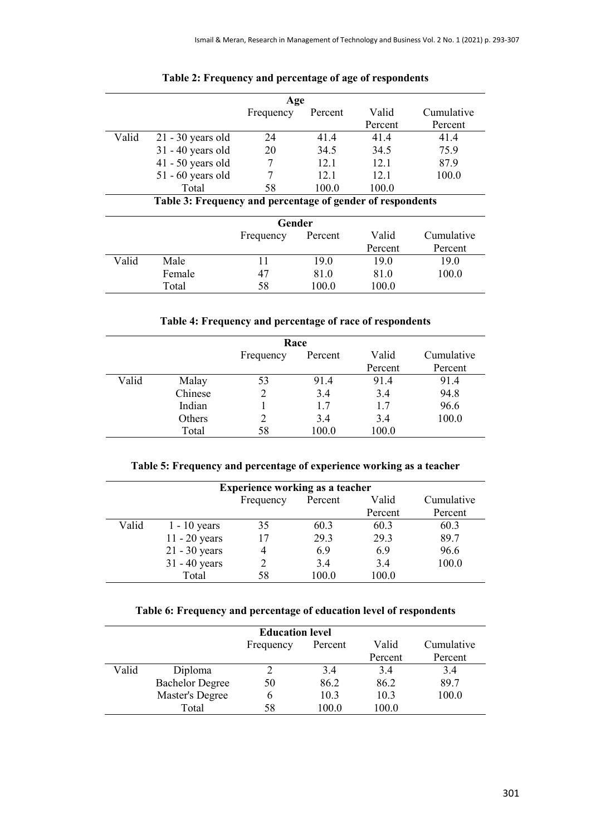|       | Age                                                        |           |         |         |            |  |
|-------|------------------------------------------------------------|-----------|---------|---------|------------|--|
|       |                                                            | Frequency | Percent | Valid   | Cumulative |  |
|       |                                                            |           |         | Percent | Percent    |  |
| Valid | $21 - 30$ years old                                        | 24        | 41.4    | 41.4    | 41.4       |  |
|       | $31 - 40$ years old                                        | 20        | 34.5    | 34.5    | 75.9       |  |
|       | $41 - 50$ years old                                        |           | 12.1    | 12.1    | 87.9       |  |
|       | $51 - 60$ years old                                        |           | 12.1    | 12.1    | 100.0      |  |
|       | Total                                                      | 58        | 100.0   | 100.0   |            |  |
|       | Table 3: Frequency and percentage of gender of respondents |           |         |         |            |  |
|       |                                                            | Gender    |         |         |            |  |
|       |                                                            |           | Percent | Valid   | Cumulative |  |
|       |                                                            | Frequency |         | Percent | Percent    |  |

# **Table 2: Frequency and percentage of age of respondents**

Female 47 81.0 81.0 100.0<br>Total 58 100.0 100.0

 $100.0$  100.0

Valid Male 11 19.0 19.0 19.0

|       | Race    |           |         |         |            |
|-------|---------|-----------|---------|---------|------------|
|       |         | Frequency | Percent | Valid   | Cumulative |
|       |         |           |         | Percent | Percent    |
| Valid | Malay   | 53        | 91.4    | 91.4    | 91.4       |
|       | Chinese |           | 3.4     | 3.4     | 94.8       |
|       | Indian  |           | 1.7     | 1.7     | 96.6       |
|       | Others  |           | 3.4     | 3.4     | 100.0      |
|       | Total   | 58        | 100.0   | 100.0   |            |

# **Table 5: Frequency and percentage of experience working as a teacher**

| <b>Experience working as a teacher</b> |                 |           |         |         |            |
|----------------------------------------|-----------------|-----------|---------|---------|------------|
|                                        |                 | Frequency | Percent | Valid   | Cumulative |
|                                        |                 |           |         | Percent | Percent    |
| Valid                                  | $1 - 10$ years  | 35        | 60.3    | 60.3    | 60.3       |
|                                        | $11 - 20$ years |           | 29.3    | 29.3    | 89.7       |
|                                        | $21 - 30$ years |           | 6.9     | 6.9     | 96.6       |
|                                        | $31 - 40$ years |           | 3.4     | 3.4     | 100.0      |
|                                        | Total           | 58        | 100.0   | 100.0   |            |

# **Table 6: Frequency and percentage of education level of respondents**

|       |                        | <b>Education level</b> |         |         |            |
|-------|------------------------|------------------------|---------|---------|------------|
|       |                        | Frequency              | Percent | Valid   | Cumulative |
|       |                        |                        |         | Percent | Percent    |
| Valid | Diploma                |                        | 3.4     | 3.4     | 3.4        |
|       | <b>Bachelor Degree</b> | 50                     | 86.2    | 86.2    | 89.7       |
|       | Master's Degree        | 6                      | 10.3    | 10.3    | 100.0      |
|       | Total                  | 58                     | 100.0   | 100.0   |            |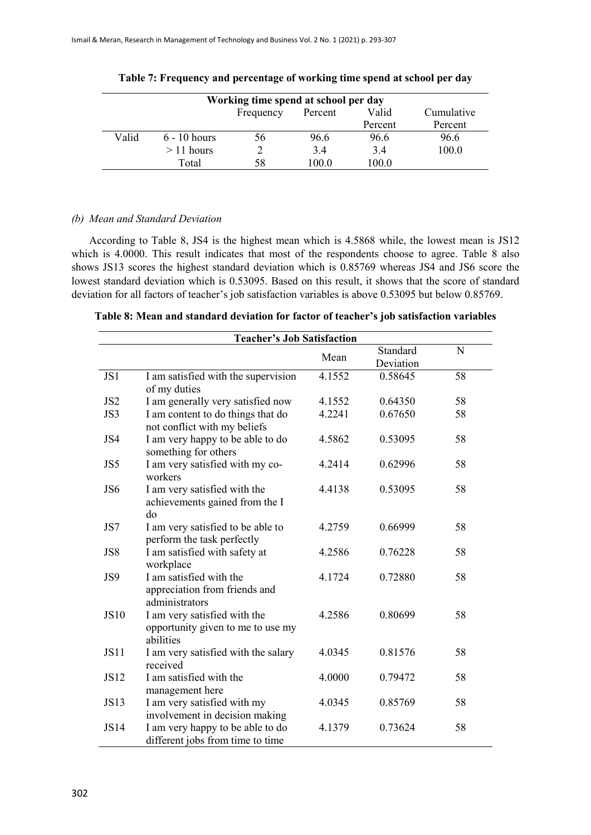|       |                | Working time spend at school per day |         |         |            |
|-------|----------------|--------------------------------------|---------|---------|------------|
|       |                | Frequency                            | Percent | Valid   | Cumulative |
|       |                |                                      |         | Percent | Percent    |
| Valid | $6 - 10$ hours | 56                                   | 96.6    | 96.6    | 96.6       |
|       | $>11$ hours    |                                      | 3.4     | 3.4     | 100.0      |
|       | Total          | 58                                   | 100.0   | 100.0   |            |

|  | Table 7: Frequency and percentage of working time spend at school per day |  |  |
|--|---------------------------------------------------------------------------|--|--|
|  |                                                                           |  |  |

# *(b) Mean and Standard Deviation*

According to Table 8, JS4 is the highest mean which is 4.5868 while, the lowest mean is JS12 which is 4.0000. This result indicates that most of the respondents choose to agree. Table 8 also shows JS13 scores the highest standard deviation which is 0.85769 whereas JS4 and JS6 score the lowest standard deviation which is 0.53095. Based on this result, it shows that the score of standard deviation for all factors of teacher's job satisfaction variables is above 0.53095 but below 0.85769.

| Table 8: Mean and standard deviation for factor of teacher's job satisfaction variables |  |  |  |
|-----------------------------------------------------------------------------------------|--|--|--|
|-----------------------------------------------------------------------------------------|--|--|--|

|                 | <b>Teacher's Job Satisfaction</b>                                              |        |                       |             |  |  |
|-----------------|--------------------------------------------------------------------------------|--------|-----------------------|-------------|--|--|
|                 |                                                                                | Mean   | Standard<br>Deviation | $\mathbf N$ |  |  |
| JS1             | I am satisfied with the supervision<br>of my duties                            | 4.1552 | 0.58645               | 58          |  |  |
| JS <sub>2</sub> | I am generally very satisfied now                                              | 4.1552 | 0.64350               | 58          |  |  |
| JS3             | I am content to do things that do<br>not conflict with my beliefs              | 4.2241 | 0.67650               | 58          |  |  |
| JS4             | I am very happy to be able to do<br>something for others                       | 4.5862 | 0.53095               | 58          |  |  |
| JS5             | I am very satisfied with my co-<br>workers                                     | 4.2414 | 0.62996               | 58          |  |  |
| JS6             | I am very satisfied with the<br>achievements gained from the I<br>do           | 4.4138 | 0.53095               | 58          |  |  |
| JS7             | I am very satisfied to be able to<br>perform the task perfectly                | 4.2759 | 0.66999               | 58          |  |  |
| JS8             | I am satisfied with safety at<br>workplace                                     | 4.2586 | 0.76228               | 58          |  |  |
| JS9             | I am satisfied with the<br>appreciation from friends and<br>administrators     | 4.1724 | 0.72880               | 58          |  |  |
| <b>JS10</b>     | I am very satisfied with the<br>opportunity given to me to use my<br>abilities | 4.2586 | 0.80699               | 58          |  |  |
| <b>JS11</b>     | I am very satisfied with the salary<br>received                                | 4.0345 | 0.81576               | 58          |  |  |
| <b>JS12</b>     | I am satisfied with the<br>management here                                     | 4.0000 | 0.79472               | 58          |  |  |
| <b>JS13</b>     | I am very satisfied with my<br>involvement in decision making                  | 4.0345 | 0.85769               | 58          |  |  |
| <b>JS14</b>     | I am very happy to be able to do<br>different jobs from time to time           | 4.1379 | 0.73624               | 58          |  |  |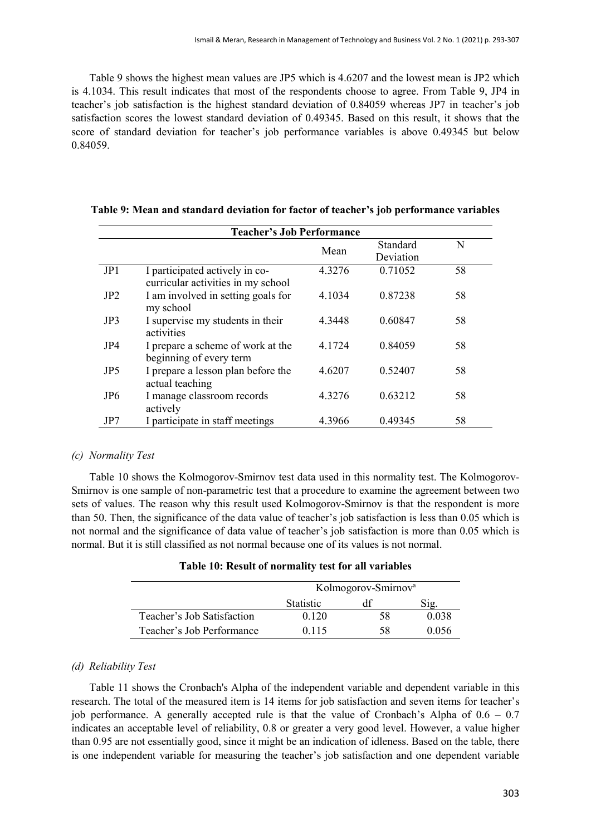Table 9 shows the highest mean values are JP5 which is 4.6207 and the lowest mean is JP2 which is 4.1034. This result indicates that most of the respondents choose to agree. From Table 9, JP4 in teacher's job satisfaction is the highest standard deviation of 0.84059 whereas JP7 in teacher's job satisfaction scores the lowest standard deviation of 0.49345. Based on this result, it shows that the score of standard deviation for teacher's job performance variables is above 0.49345 but below 0.84059.

|                 | <b>Teacher's Job Performance</b>                                     |        |           |    |
|-----------------|----------------------------------------------------------------------|--------|-----------|----|
|                 |                                                                      | Mean   | Standard  | N  |
|                 |                                                                      |        | Deviation |    |
| JP1             | I participated actively in co-<br>curricular activities in my school | 4.3276 | 0.71052   | 58 |
| JP2             | I am involved in setting goals for<br>my school                      | 4.1034 | 0.87238   | 58 |
| JP3             | I supervise my students in their<br>activities                       | 4.3448 | 0.60847   | 58 |
| JP4             | I prepare a scheme of work at the<br>beginning of every term         | 4.1724 | 0.84059   | 58 |
| JP <sub>5</sub> | I prepare a lesson plan before the<br>actual teaching                | 4.6207 | 0.52407   | 58 |
| JP <sub>6</sub> | I manage classroom records<br>actively                               | 4.3276 | 0.63212   | 58 |
| JP7             | I participate in staff meetings                                      | 4.3966 | 0.49345   | 58 |

**Table 9: Mean and standard deviation for factor of teacher's job performance variables**

# *(c) Normality Test*

Table 10 shows the Kolmogorov-Smirnov test data used in this normality test. The Kolmogorov-Smirnov is one sample of non-parametric test that a procedure to examine the agreement between two sets of values. The reason why this result used Kolmogorov-Smirnov is that the respondent is more than 50. Then, the significance of the data value of teacher's job satisfaction is less than 0.05 which is not normal and the significance of data value of teacher's job satisfaction is more than 0.05 which is normal. But it is still classified as not normal because one of its values is not normal.

| Table 10: Result of normality test for all variables |  |
|------------------------------------------------------|--|
|------------------------------------------------------|--|

|                            | Kolmogorov-Smirnov <sup>a</sup> |    |       |
|----------------------------|---------------------------------|----|-------|
|                            | <b>Statistic</b>                |    |       |
| Teacher's Job Satisfaction | 0.120                           | 58 | 0.038 |
| Teacher's Job Performance  | 0.115                           | 58 | 0.056 |

# *(d) Reliability Test*

Table 11 shows the Cronbach's Alpha of the independent variable and dependent variable in this research. The total of the measured item is 14 items for job satisfaction and seven items for teacher's job performance. A generally accepted rule is that the value of Cronbach's Alpha of  $0.6 - 0.7$ indicates an acceptable level of reliability, 0.8 or greater a very good level. However, a value higher than 0.95 are not essentially good, since it might be an indication of idleness. Based on the table, there is one independent variable for measuring the teacher's job satisfaction and one dependent variable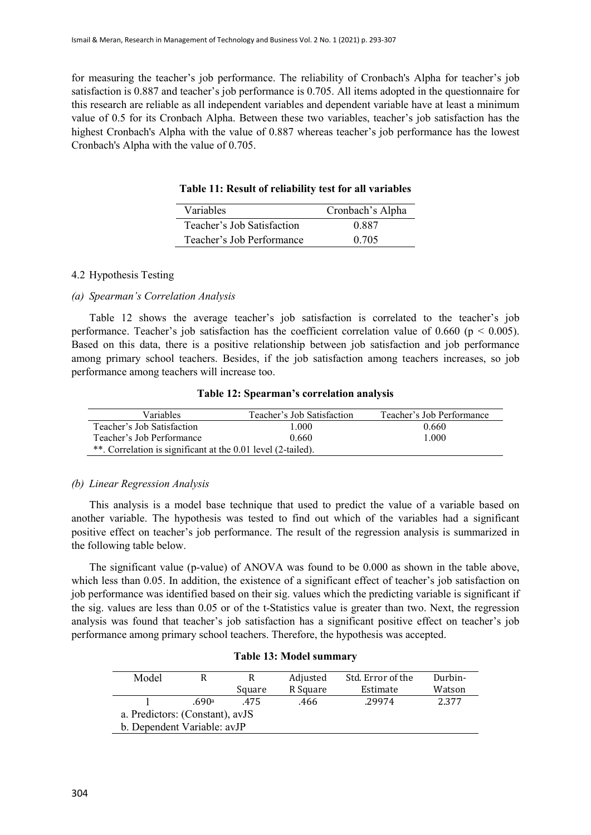for measuring the teacher's job performance. The reliability of Cronbach's Alpha for teacher's job satisfaction is 0.887 and teacher's job performance is 0.705. All items adopted in the questionnaire for this research are reliable as all independent variables and dependent variable have at least a minimum value of 0.5 for its Cronbach Alpha. Between these two variables, teacher's job satisfaction has the highest Cronbach's Alpha with the value of 0.887 whereas teacher's job performance has the lowest Cronbach's Alpha with the value of 0.705.

| Variables                  | Cronbach's Alpha |
|----------------------------|------------------|
| Teacher's Job Satisfaction | 0.887            |
| Teacher's Job Performance  | 0.705            |

# **Table 11: Result of reliability test for all variables**

#### 4.2 Hypothesis Testing

# *(a) Spearman's Correlation Analysis*

Table 12 shows the average teacher's job satisfaction is correlated to the teacher's job performance. Teacher's job satisfaction has the coefficient correlation value of 0.660 ( $p < 0.005$ ). Based on this data, there is a positive relationship between job satisfaction and job performance among primary school teachers. Besides, if the job satisfaction among teachers increases, so job performance among teachers will increase too.

#### **Table 12: Spearman's correlation analysis**

| <b>Variables</b>                                             | Teacher's Job Satisfaction | Teacher's Job Performance |
|--------------------------------------------------------------|----------------------------|---------------------------|
| Teacher's Job Satisfaction                                   | 1.000                      | 0.660                     |
| Teacher's Job Performance                                    | 0.660                      | 1.000                     |
| **. Correlation is significant at the 0.01 level (2-tailed). |                            |                           |

#### *(b) Linear Regression Analysis*

This analysis is a model base technique that used to predict the value of a variable based on another variable. The hypothesis was tested to find out which of the variables had a significant positive effect on teacher's job performance. The result of the regression analysis is summarized in the following table below.

The significant value (p-value) of ANOVA was found to be 0.000 as shown in the table above, which less than 0.05. In addition, the existence of a significant effect of teacher's job satisfaction on job performance was identified based on their sig. values which the predicting variable is significant if the sig. values are less than 0.05 or of the t-Statistics value is greater than two. Next, the regression analysis was found that teacher's job satisfaction has a significant positive effect on teacher's job performance among primary school teachers. Therefore, the hypothesis was accepted.

| Model                           |       | R      | Adjusted | Std. Error of the | Durbin- |
|---------------------------------|-------|--------|----------|-------------------|---------|
|                                 |       | Square | R Square | Estimate          | Watson  |
|                                 | .690a | .475   | .466     | .29974            | 2.377   |
| a. Predictors: (Constant), avJS |       |        |          |                   |         |
| b. Dependent Variable: avJP     |       |        |          |                   |         |

#### **Table 13: Model summary**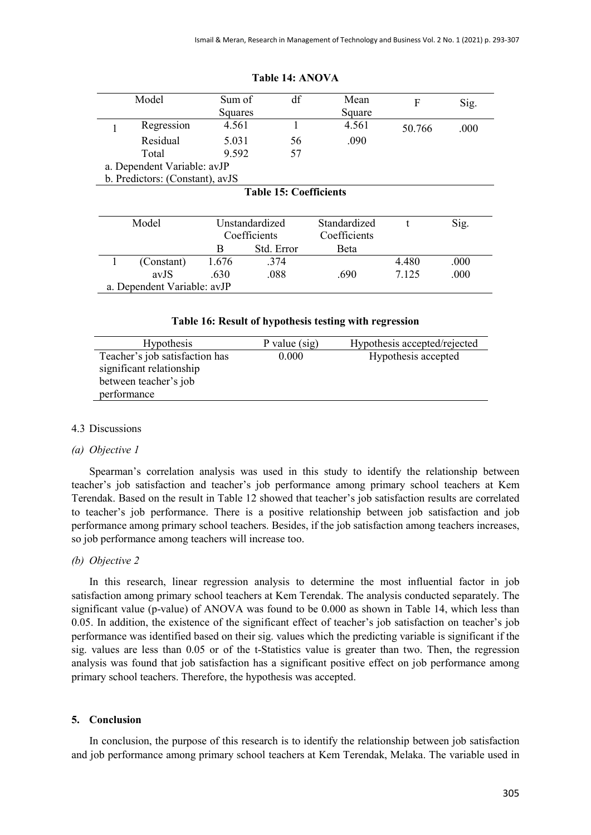| Model                           | Sum of  | df                            | Mean               | F      | Sig.       |
|---------------------------------|---------|-------------------------------|--------------------|--------|------------|
|                                 | Squares |                               | Square             |        |            |
| Regression                      | 4.561   |                               | 4.561              | 50.766 | .000       |
| Residual                        | 5.031   | 56                            | .090               |        |            |
| Total                           | 9.592   | 57                            |                    |        |            |
| a. Dependent Variable: avJP     |         |                               |                    |        |            |
| b. Predictors: (Constant), avJS |         |                               |                    |        |            |
|                                 |         | <b>Table 15: Coefficients</b> |                    |        |            |
|                                 |         |                               |                    |        |            |
| $M = 1.1$                       |         |                               | $Q_4 = 1.41 - 1.1$ |        | $\Omega$ : |

#### **Table 14: ANOVA**

| Model                       | Unstandardized |            | Standardized |       | Sig. |
|-----------------------------|----------------|------------|--------------|-------|------|
|                             | Coefficients   |            | Coefficients |       |      |
|                             |                | Std. Error | <b>Beta</b>  |       |      |
| (Constant)                  | 1.676          | .374       |              | 4.480 | .000 |
| avJS                        | .630           | .088       | .690         | 7.125 | .000 |
| a. Dependent Variable: avJP |                |            |              |       |      |

**Table 16: Result of hypothesis testing with regression**

| <b>Hypothesis</b>              | P value $(sig)$ | Hypothesis accepted/rejected |
|--------------------------------|-----------------|------------------------------|
| Teacher's job satisfaction has | 0.000           | Hypothesis accepted          |
| significant relationship       |                 |                              |
| between teacher's job          |                 |                              |
| performance                    |                 |                              |

# 4.3 Discussions

#### *(a) Objective 1*

Spearman's correlation analysis was used in this study to identify the relationship between teacher's job satisfaction and teacher's job performance among primary school teachers at Kem Terendak. Based on the result in Table 12 showed that teacher's job satisfaction results are correlated to teacher's job performance. There is a positive relationship between job satisfaction and job performance among primary school teachers. Besides, if the job satisfaction among teachers increases, so job performance among teachers will increase too.

#### *(b) Objective 2*

In this research, linear regression analysis to determine the most influential factor in job satisfaction among primary school teachers at Kem Terendak. The analysis conducted separately. The significant value (p-value) of ANOVA was found to be 0.000 as shown in Table 14, which less than 0.05. In addition, the existence of the significant effect of teacher's job satisfaction on teacher's job performance was identified based on their sig. values which the predicting variable is significant if the sig. values are less than 0.05 or of the t-Statistics value is greater than two. Then, the regression analysis was found that job satisfaction has a significant positive effect on job performance among primary school teachers. Therefore, the hypothesis was accepted.

#### **5. Conclusion**

In conclusion, the purpose of this research is to identify the relationship between job satisfaction and job performance among primary school teachers at Kem Terendak, Melaka. The variable used in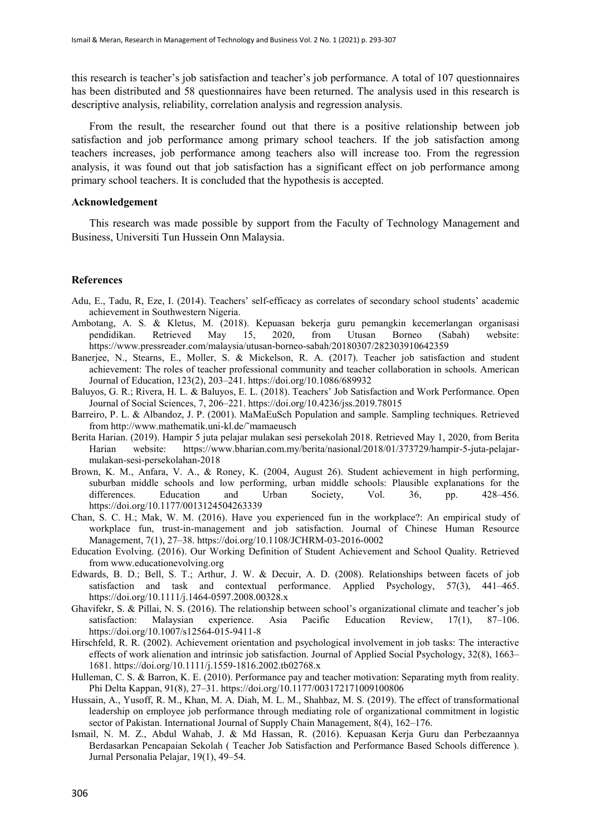this research is teacher's job satisfaction and teacher's job performance. A total of 107 questionnaires has been distributed and 58 questionnaires have been returned. The analysis used in this research is descriptive analysis, reliability, correlation analysis and regression analysis.

From the result, the researcher found out that there is a positive relationship between job satisfaction and job performance among primary school teachers. If the job satisfaction among teachers increases, job performance among teachers also will increase too. From the regression analysis, it was found out that job satisfaction has a significant effect on job performance among primary school teachers. It is concluded that the hypothesis is accepted.

# **Acknowledgement**

This research was made possible by support from the Faculty of Technology Management and Business, Universiti Tun Hussein Onn Malaysia.

#### **References**

- Adu, E., Tadu, R, Eze, I. (2014). Teachers' self-efficacy as correlates of secondary school students' academic achievement in Southwestern Nigeria.
- Ambotang, A. S. & Kletus, M. (2018). Kepuasan bekerja guru pemangkin kecemerlangan organisasi pendidikan. Retrieved May 15, 2020, from Utusan Borneo (Sabah) website: https://www.pressreader.com/malaysia/utusan-borneo-sabah/20180307/282303910642359
- Banerjee, N., Stearns, E., Moller, S. & Mickelson, R. A. (2017). Teacher job satisfaction and student achievement: The roles of teacher professional community and teacher collaboration in schools. American Journal of Education, 123(2), 203–241. https://doi.org/10.1086/689932
- Baluyos, G. R.; Rivera, H. L. & Baluyos, E. L. (2018). Teachers' Job Satisfaction and Work Performance. Open Journal of Social Sciences, 7, 206–221. https://doi.org/10.4236/jss.2019.78015
- Barreiro, P. L. & Albandoz, J. P. (2001). MaMaEuSch Population and sample. Sampling techniques. Retrieved from http://www.mathematik.uni-kl.de/˜mamaeusch
- Berita Harian. (2019). Hampir 5 juta pelajar mulakan sesi persekolah 2018. Retrieved May 1, 2020, from Berita Harian website: https://www.bharian.com.my/berita/nasional/2018/01/373729/hampir-5-juta-pelajarmulakan-sesi-persekolahan-2018
- Brown, K. M., Anfara, V. A., & Roney, K. (2004, August 26). Student achievement in high performing, suburban middle schools and low performing, urban middle schools: Plausible explanations for the differences. Education and Urban Society, Vol. 36, pp. 428–456. https://doi.org/10.1177/0013124504263339
- Chan, S. C. H.; Mak, W. M. (2016). Have you experienced fun in the workplace?: An empirical study of workplace fun, trust-in-management and job satisfaction. Journal of Chinese Human Resource Management, 7(1), 27–38. https://doi.org/10.1108/JCHRM-03-2016-0002
- Education Evolving. (2016). Our Working Definition of Student Achievement and School Quality. Retrieved from www.educationevolving.org
- Edwards, B. D.; Bell, S. T.; Arthur, J. W. & Decuir, A. D. (2008). Relationships between facets of job satisfaction and task and contextual performance. Applied Psychology, 57(3), 441–465. https://doi.org/10.1111/j.1464-0597.2008.00328.x
- Ghavifekr, S. & Pillai, N. S. (2016). The relationship between school's organizational climate and teacher's job satisfaction: Malaysian experience. Asia Pacific Education Review, 17(1), 87–106. https://doi.org/10.1007/s12564-015-9411-8
- Hirschfeld, R. R. (2002). Achievement orientation and psychological involvement in job tasks: The interactive effects of work alienation and intrinsic job satisfaction. Journal of Applied Social Psychology, 32(8), 1663– 1681. https://doi.org/10.1111/j.1559-1816.2002.tb02768.x
- Hulleman, C. S. & Barron, K. E. (2010). Performance pay and teacher motivation: Separating myth from reality. Phi Delta Kappan, 91(8), 27–31. https://doi.org/10.1177/003172171009100806
- Hussain, A., Yusoff, R. M., Khan, M. A. Diah, M. L. M., Shahbaz, M. S. (2019). The effect of transformational leadership on employee job performance through mediating role of organizational commitment in logistic sector of Pakistan. International Journal of Supply Chain Management, 8(4), 162–176.
- Ismail, N. M. Z., Abdul Wahab, J. & Md Hassan, R. (2016). Kepuasan Kerja Guru dan Perbezaannya Berdasarkan Pencapaian Sekolah ( Teacher Job Satisfaction and Performance Based Schools difference ). Jurnal Personalia Pelajar, 19(1), 49–54.